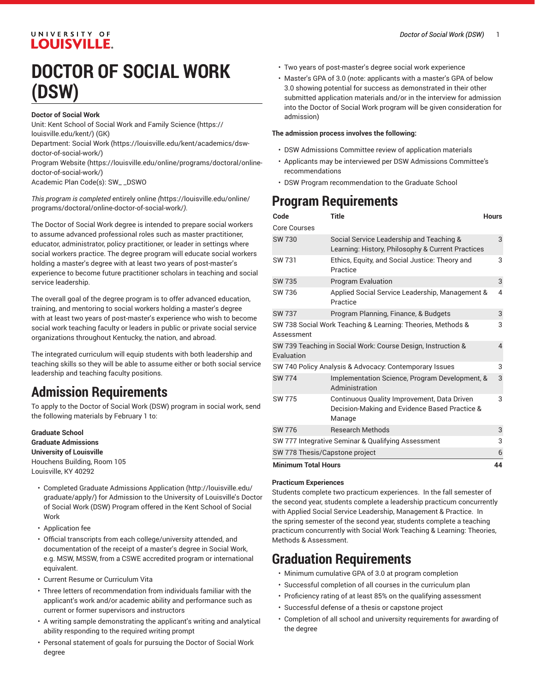### UNIVERSITY OF **LOUISVILLE.**

# **DOCTOR OF SOCIAL WORK (DSW)**

#### **Doctor of Social Work**

Unit: Kent School of Social Work and Family [Science \(https://](https://louisville.edu/kent/) [louisville.edu/kent/](https://louisville.edu/kent/)) (GK) Department: [Social](https://louisville.edu/kent/academics/dsw-doctor-of-social-work/) Work ([https://louisville.edu/kent/academics/dsw](https://louisville.edu/kent/academics/dsw-doctor-of-social-work/)[doctor-of-social-work/](https://louisville.edu/kent/academics/dsw-doctor-of-social-work/)) [Program](https://louisville.edu/online/programs/doctoral/online-doctor-of-social-work/) Website [\(https://louisville.edu/online/programs/doctoral/online](https://louisville.edu/online/programs/doctoral/online-doctor-of-social-work/)[doctor-of-social-work/](https://louisville.edu/online/programs/doctoral/online-doctor-of-social-work/))

Academic Plan Code(s): SW\_ \_DSWO

*This program is completed* [entirely](https://louisville.edu/online/programs/doctoral/online-doctor-of-social-work/) online *(*[https://louisville.edu/online/](https://louisville.edu/online/programs/doctoral/online-doctor-of-social-work/) [programs/doctoral/online-doctor-of-social-work/](https://louisville.edu/online/programs/doctoral/online-doctor-of-social-work/)*).*

The Doctor of Social Work degree is intended to prepare social workers to assume advanced professional roles such as master practitioner, educator, administrator, policy practitioner, or leader in settings where social workers practice. The degree program will educate social workers holding a master's degree with at least two years of post-master's experience to become future practitioner scholars in teaching and social service leadership.

The overall goal of the degree program is to offer advanced education, training, and mentoring to social workers holding a master's degree with at least two years of post-master's experience who wish to become social work teaching faculty or leaders in public or private social service organizations throughout Kentucky, the nation, and abroad.

The integrated curriculum will equip students with both leadership and teaching skills so they will be able to assume either or both social service leadership and teaching faculty positions.

# **Admission Requirements**

To apply to the Doctor of Social Work (DSW) program in social work, send the following materials by February 1 to:

**Graduate School Graduate Admissions University of Louisville** Houchens Building, Room 105 Louisville, KY 40292

- Completed [Graduate Admissions Application](http://louisville.edu/graduate/apply/) ([http://louisville.edu/](http://louisville.edu/graduate/apply/) [graduate/apply/](http://louisville.edu/graduate/apply/)) for Admission to the University of Louisville's Doctor of Social Work (DSW) Program offered in the Kent School of Social Work
- Application fee
- Official transcripts from each college/university attended, and documentation of the receipt of a master's degree in Social Work, e.g. MSW, MSSW, from a CSWE accredited program or international equivalent.
- Current Resume or Curriculum Vita
- Three letters of recommendation from individuals familiar with the applicant's work and/or academic ability and performance such as current or former supervisors and instructors
- A writing sample demonstrating the applicant's writing and analytical ability responding to the required writing prompt
- Personal statement of goals for pursuing the Doctor of Social Work degree
- Two years of post-master's degree social work experience
- Master's GPA of 3.0 (note: applicants with a master's GPA of below 3.0 showing potential for success as demonstrated in their other submitted application materials and/or in the interview for admission into the Doctor of Social Work program will be given consideration for admission)

#### **The admission process involves the following:**

- DSW Admissions Committee review of application materials
- Applicants may be interviewed per DSW Admissions Committee's recommendations
- DSW Program recommendation to the Graduate School

# **Program Requirements**

| Code                                                                      | Title                                                                                                  | <b>Hours</b> |
|---------------------------------------------------------------------------|--------------------------------------------------------------------------------------------------------|--------------|
| Core Courses                                                              |                                                                                                        |              |
| <b>SW 730</b>                                                             | Social Service Leadership and Teaching &<br>Learning: History, Philosophy & Current Practices          | 3            |
| SW 731                                                                    | Ethics, Equity, and Social Justice: Theory and<br>Practice                                             | 3            |
| <b>SW 735</b>                                                             | <b>Program Evaluation</b>                                                                              | 3            |
| SW 736                                                                    | Applied Social Service Leadership, Management &<br>Practice                                            | 4            |
| <b>SW 737</b>                                                             | Program Planning, Finance, & Budgets                                                                   | 3            |
| SW 738 Social Work Teaching & Learning: Theories, Methods &<br>Assessment |                                                                                                        | 3            |
| <b>Fvaluation</b>                                                         | SW 739 Teaching in Social Work: Course Design, Instruction &                                           | 4            |
| SW 740 Policy Analysis & Advocacy: Contemporary Issues                    |                                                                                                        | 3            |
| <b>SW 774</b>                                                             | Implementation Science, Program Development, &<br>Administration                                       | 3            |
| SW 775                                                                    | Continuous Quality Improvement, Data Driven<br>Decision-Making and Evidence Based Practice &<br>Manage | 3            |
| SW 776                                                                    | <b>Research Methods</b>                                                                                | 3            |
| SW 777 Integrative Seminar & Qualifying Assessment                        |                                                                                                        | 3            |
| SW 778 Thesis/Capstone project                                            |                                                                                                        | 6            |
| <b>Minimum Total Hours</b>                                                |                                                                                                        | 44           |

#### **Practicum Experiences**

Students complete two practicum experiences. In the fall semester of the second year, students complete a leadership practicum concurrently with Applied Social Service Leadership, Management & Practice. In the spring semester of the second year, students complete a teaching practicum concurrently with Social Work Teaching & Learning: Theories, Methods & Assessment.

### **Graduation Requirements**

- Minimum cumulative GPA of 3.0 at program completion
- Successful completion of all courses in the curriculum plan
- Proficiency rating of at least 85% on the qualifying assessment
- Successful defense of a thesis or capstone project
- Completion of all school and university requirements for awarding of the degree